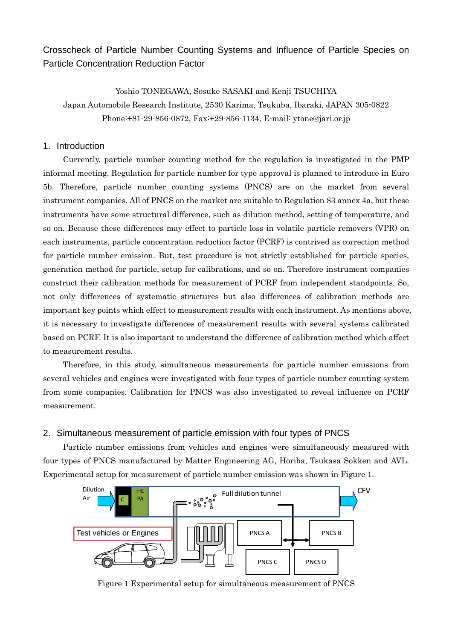Crosscheck of Particle Number Counting Systems and Influence of Particle Species on Particle Concentration Reduction Factor

Yoshio TONEGAWA, Sosuke SASAKI and Kenji TSUCHIYA

Japan Automobile Research Institute, 2530 Karima, Tsukuba, Ibaraki, JAPAN 305-0822 Phone:+81-29-856-0872, Fax:+29-856-1134, E-mail: ytone@jari.or.jp

### 1. Introduction

Currently, particle number counting method for the regulation is investigated in the PMP informal meeting. Regulation for particle number for type approval is planned to introduce in Euro 5b. Therefore, particle number counting systems (PNCS) are on the market from several instrument companies. All of PNCS on the market are suitable to Regulation 83 annex 4a, but these instruments have some structural difference, such as dilution method, setting of temperature, and so on. Because these differences may effect to particle loss in volatile particle removers (VPR) on each instruments, particle concentration reduction factor (PCRF) is contrived as correction method for particle number emission. But, test procedure is not strictly established for particle species, generation method for particle, setup for calibrations, and so on. Therefore instrument companies construct their calibration methods for measurement of PCRF from independent standpoints. So, not only differences of systematic structures but also differences of calibration methods are important key points which effect to measurement results with each instrument. As mentions above, it is necessary to investigate differences of measurement results with several systems calibrated based on PCRF. It is also important to understand the difference of calibration method which affect to measurement results.

Therefore, in this study, simultaneous measurements for particle number emissions from several vehicles and engines were investigated with four types of particle number counting system from some companies. Calibration for PNCS was also investigated to reveal influence on PCRF measurement.

### 2. Simultaneous measurement of particle emission with four types of PNCS

 Particle number emissions from vehicles and engines were simultaneously measured with four types of PNCS manufactured by Matter Engineering AG, Horiba, Tsukasa Sokken and AVL. Experimental setup for measurement of particle number emission was shown in Figure 1.



Figure 1 Experimental setup for simultaneous measurement of PNCS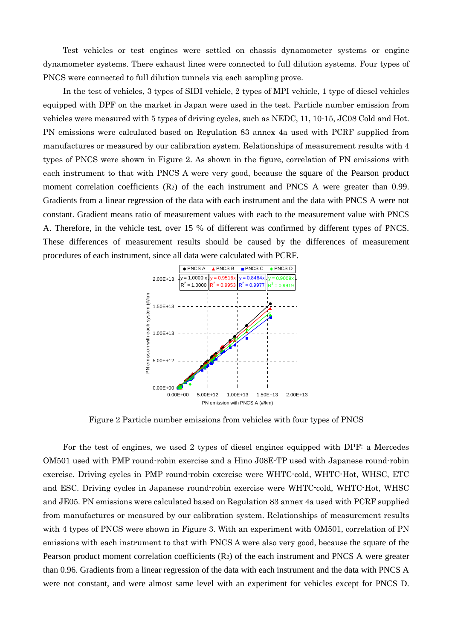Test vehicles or test engines were settled on chassis dynamometer systems or engine dynamometer systems. There exhaust lines were connected to full dilution systems. Four types of PNCS were connected to full dilution tunnels via each sampling prove.

 In the test of vehicles, 3 types of SIDI vehicle, 2 types of MPI vehicle, 1 type of diesel vehicles equipped with DPF on the market in Japan were used in the test. Particle number emission from vehicles were measured with 5 types of driving cycles, such as NEDC, 11, 10-15, JC08 Cold and Hot. PN emissions were calculated based on Regulation 83 annex 4a used with PCRF supplied from manufactures or measured by our calibration system. Relationships of measurement results with 4 types of PNCS were shown in Figure 2. As shown in the figure, correlation of PN emissions with each instrument to that with PNCS A were very good, because the square of the Pearson product moment correlation coefficients (R<sub>2</sub>) of the each instrument and PNCS A were greater than 0.99. Gradients from a linear regression of the data with each instrument and the data with PNCS A were not constant. Gradient means ratio of measurement values with each to the measurement value with PNCS A. Therefore, in the vehicle test, over 15 % of different was confirmed by different types of PNCS. These differences of measurement results should be caused by the differences of measurement procedures of each instrument, since all data were calculated with PCRF.



Figure 2 Particle number emissions from vehicles with four types of PNCS

 For the test of engines, we used 2 types of diesel engines equipped with DPF: a Mercedes OM501 used with PMP round-robin exercise and a Hino J08E-TP used with Japanese round-robin exercise. Driving cycles in PMP round-robin exercise were WHTC-cold, WHTC-Hot, WHSC, ETC and ESC. Driving cycles in Japanese round-robin exercise were WHTC-cold, WHTC-Hot, WHSC and JE05. PN emissions were calculated based on Regulation 83 annex 4a used with PCRF supplied from manufactures or measured by our calibration system. Relationships of measurement results with 4 types of PNCS were shown in Figure 3. With an experiment with OM501, correlation of PN emissions with each instrument to that with PNCS A were also very good, because the square of the Pearson product moment correlation coefficients  $(R<sub>2</sub>)$  of the each instrument and PNCS A were greater than 0.96. Gradients from a linear regression of the data with each instrument and the data with PNCS A were not constant, and were almost same level with an experiment for vehicles except for PNCS D.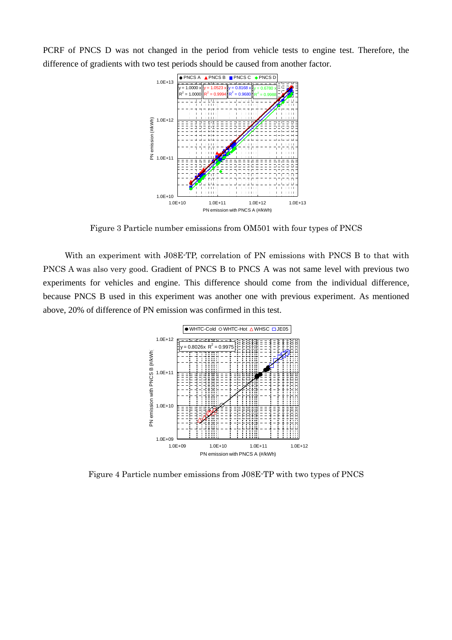PCRF of PNCS D was not changed in the period from vehicle tests to engine test. Therefore, the difference of gradients with two test periods should be caused from another factor.



Figure 3 Particle number emissions from OM501 with four types of PNCS

 With an experiment with J08E-TP, correlation of PN emissions with PNCS B to that with PNCS A was also very good. Gradient of PNCS B to PNCS A was not same level with previous two experiments for vehicles and engine. This difference should come from the individual difference, because PNCS B used in this experiment was another one with previous experiment. As mentioned above, 20% of difference of PN emission was confirmed in this test.



Figure 4 Particle number emissions from J08E-TP with two types of PNCS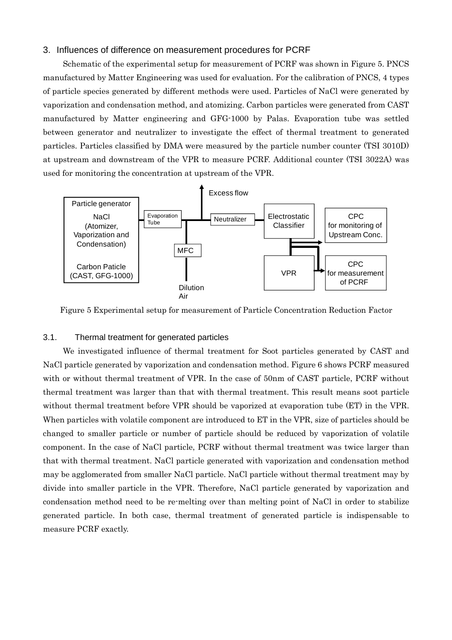### 3. Influences of difference on measurement procedures for PCRF

 Schematic of the experimental setup for measurement of PCRF was shown in Figure 5. PNCS manufactured by Matter Engineering was used for evaluation. For the calibration of PNCS, 4 types of particle species generated by different methods were used. Particles of NaCl were generated by vaporization and condensation method, and atomizing. Carbon particles were generated from CAST manufactured by Matter engineering and GFG-1000 by Palas. Evaporation tube was settled between generator and neutralizer to investigate the effect of thermal treatment to generated particles. Particles classified by DMA were measured by the particle number counter (TSI 3010D) at upstream and downstream of the VPR to measure PCRF. Additional counter (TSI 3022A) was used for monitoring the concentration at upstream of the VPR.



Figure 5 Experimental setup for measurement of Particle Concentration Reduction Factor

#### 3.1. Thermal treatment for generated particles

 We investigated influence of thermal treatment for Soot particles generated by CAST and NaCl particle generated by vaporization and condensation method. Figure 6 shows PCRF measured with or without thermal treatment of VPR. In the case of 50nm of CAST particle, PCRF without thermal treatment was larger than that with thermal treatment. This result means soot particle without thermal treatment before VPR should be vaporized at evaporation tube (ET) in the VPR. When particles with volatile component are introduced to ET in the VPR, size of particles should be changed to smaller particle or number of particle should be reduced by vaporization of volatile component. In the case of NaCl particle, PCRF without thermal treatment was twice larger than that with thermal treatment. NaCl particle generated with vaporization and condensation method may be agglomerated from smaller NaCl particle. NaCl particle without thermal treatment may by divide into smaller particle in the VPR. Therefore, NaCl particle generated by vaporization and condensation method need to be re-melting over than melting point of NaCl in order to stabilize generated particle. In both case, thermal treatment of generated particle is indispensable to measure PCRF exactly.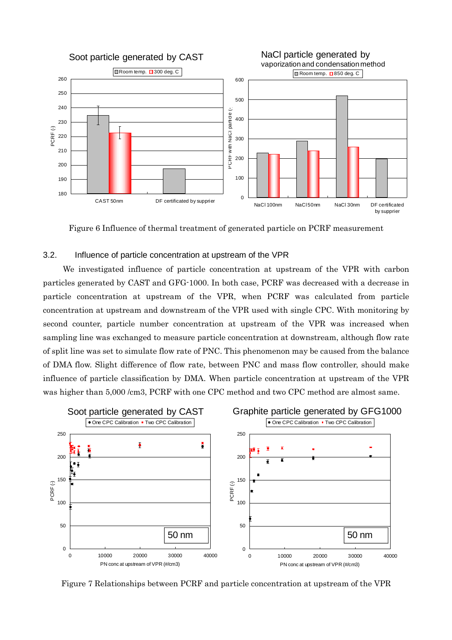

Figure 6 Influence of thermal treatment of generated particle on PCRF measurement

### 3.2. Influence of particle concentration at upstream of the VPR

 We investigated influence of particle concentration at upstream of the VPR with carbon particles generated by CAST and GFG-1000. In both case, PCRF was decreased with a decrease in particle concentration at upstream of the VPR, when PCRF was calculated from particle concentration at upstream and downstream of the VPR used with single CPC. With monitoring by second counter, particle number concentration at upstream of the VPR was increased when sampling line was exchanged to measure particle concentration at downstream, although flow rate of split line was set to simulate flow rate of PNC. This phenomenon may be caused from the balance of DMA flow. Slight difference of flow rate, between PNC and mass flow controller, should make influence of particle classification by DMA. When particle concentration at upstream of the VPR was higher than 5,000 /cm3, PCRF with one CPC method and two CPC method are almost same.



Figure 7 Relationships between PCRF and particle concentration at upstream of the VPR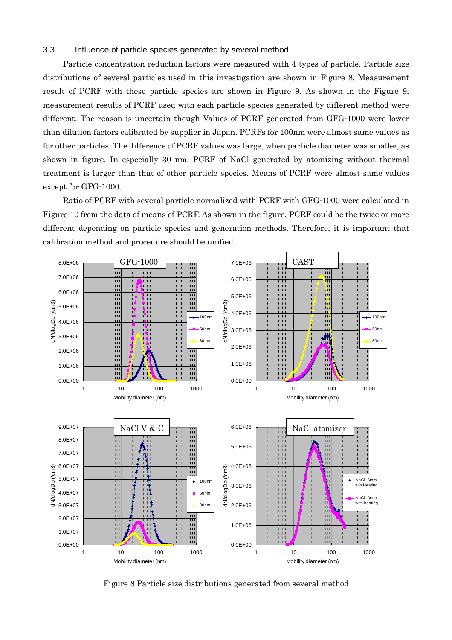### 3.3. Influence of particle species generated by several method

 Particle concentration reduction factors were measured with 4 types of particle. Particle size distributions of several particles used in this investigation are shown in Figure 8. Measurement result of PCRF with these particle species are shown in Figure 9. As shown in the Figure 9, measurement results of PCRF used with each particle species generated by different method were different. The reason is uncertain though Values of PCRF generated from GFG-1000 were lower than dilution factors calibrated by supplier in Japan. PCRFs for 100nm were almost same values as for other particles. The difference of PCRF values was large, when particle diameter was smaller, as shown in figure. In especially 30 nm, PCRF of NaCl generated by atomizing without thermal treatment is larger than that of other particle species. Means of PCRF were almost same values except for GFG-1000.

 Ratio of PCRF with several particle normalized with PCRF with GFG-1000 were calculated in Figure 10 from the data of means of PCRF. As shown in the figure, PCRF could be the twice or more different depending on particle species and generation methods. Therefore, it is important that calibration method and procedure should be unified.



Figure 8 Particle size distributions generated from several method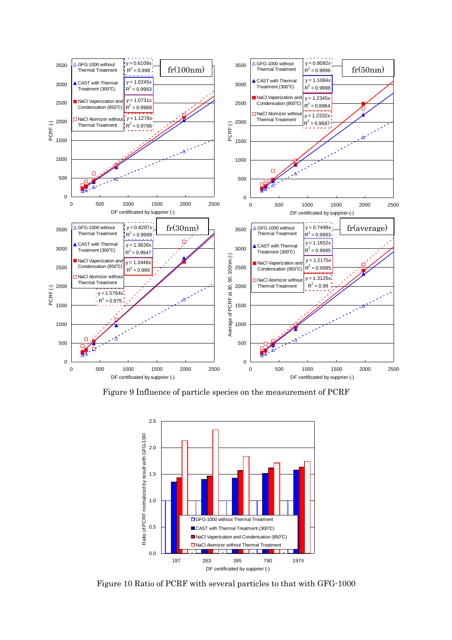

Figure 9 Influence of particle species on the measurement of PCRF



Figure 10 Ratio of PCRF with several particles to that with GFG-1000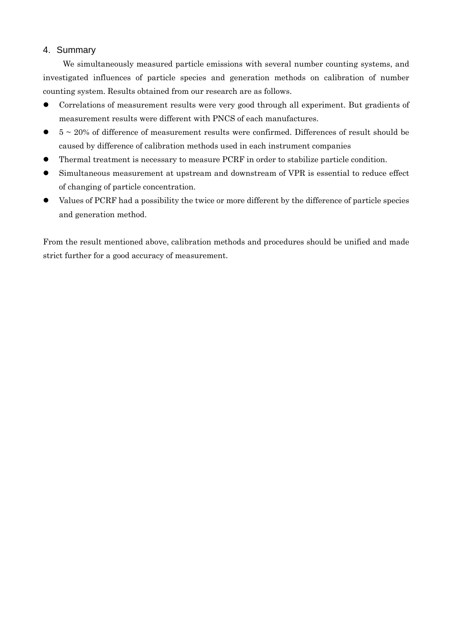### 4. Summary

 We simultaneously measured particle emissions with several number counting systems, and investigated influences of particle species and generation methods on calibration of number counting system. Results obtained from our research are as follows.

- Correlations of measurement results were very good through all experiment. But gradients of measurement results were different with PNCS of each manufactures.
- $\bullet$  5  $\sim$  20% of difference of measurement results were confirmed. Differences of result should be caused by difference of calibration methods used in each instrument companies
- Thermal treatment is necessary to measure PCRF in order to stabilize particle condition.
- Simultaneous measurement at upstream and downstream of VPR is essential to reduce effect of changing of particle concentration.
- Values of PCRF had a possibility the twice or more different by the difference of particle species and generation method.

From the result mentioned above, calibration methods and procedures should be unified and made strict further for a good accuracy of measurement.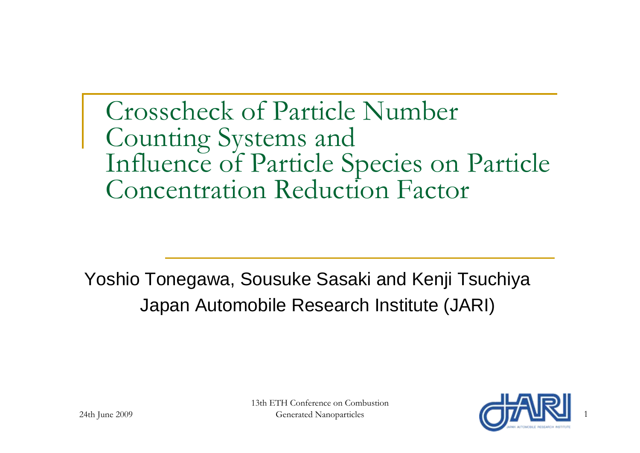# Crosscheck of Particle Number Counting Systems and Influence of Particle Species on Particle Concentration Reduction Factor

Yoshio Tonegawa, Sousuke Sasaki and Kenji Tsuchiya Japan Automobile Research Institute (JARI)

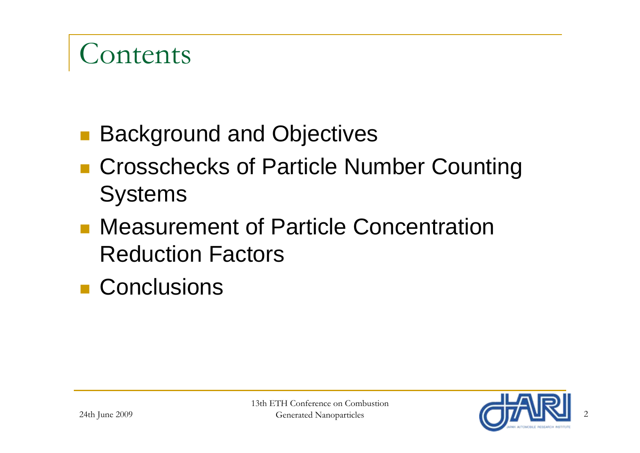# Contents

- Background and Objectives
- Crosschecks of Particle Number Counting **Systems**
- Measurement of Particle Concentration Reduction Factors
- **Conclusions**

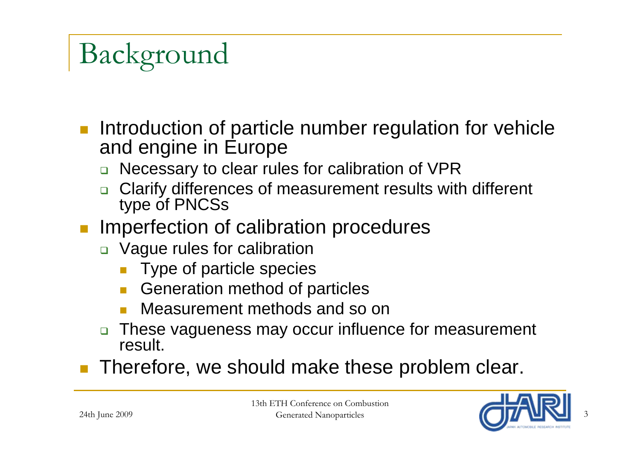# Background

- p. Introduction of particle number regulation for vehicle and engine in Europe
	- $\Box$ Necessary to clear rules for calibration of VPR
	- $\Box$ Clarify differences of measurement results with different type of PNCSs
- Imperfection of calibration procedures
	- Vague rules for calibration
		- **Type of particle species**
		- $\Box$ Generation method of particles
		- $\Box$ Measurement methods and so on
	- $\Box$  These vagueness may occur influence for measurement result.
- П Therefore, we should make these problem clear.

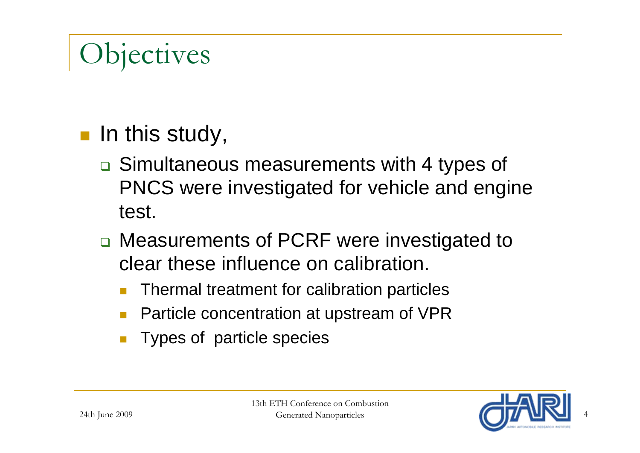# **Objectives**

## $\blacksquare$  In this study,

- **□ Simultaneous measurements with 4 types of** PNCS were investigated for vehicle and engine test.
- □ Measurements of PCRF were investigated to clear these influence on calibration.
	- $\Box$ Thermal treatment for calibration particles
	- $\Box$ Particle concentration at upstream of VPR
	- $\Box$ Types of particle species

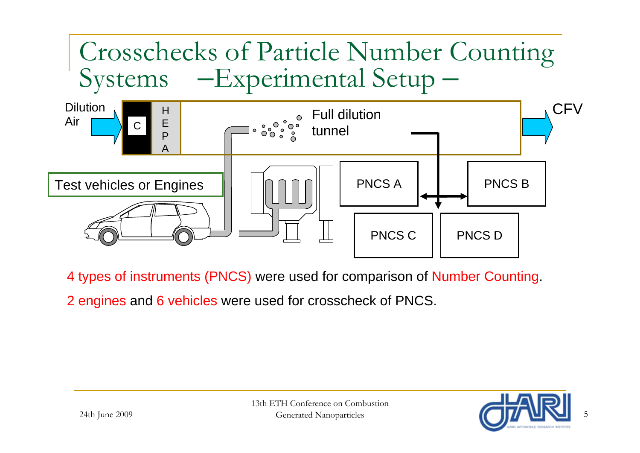

4 types of instruments (PNCS) were used for comparison of Number Counting.

2 engines and 6 vehicles were used for crosscheck of PNCS.

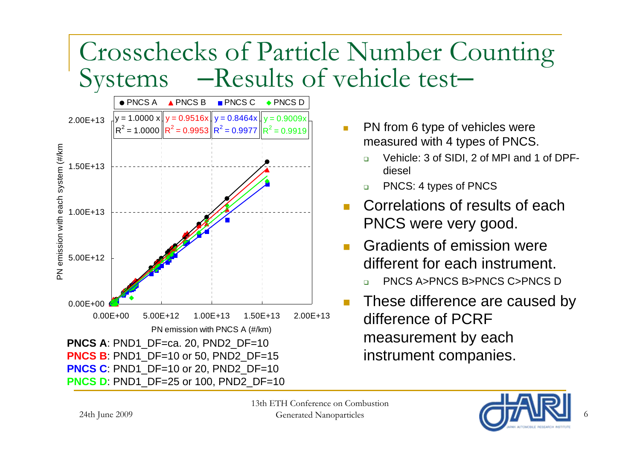## Crosschecks of Particle Number Counting **Systems** –Results of vehicle test–



- $\mathcal{L}_{\mathcal{A}}$  PN from 6 type of vehicles were measured with 4 types of PNCS.
	- $\Box$  Vehicle: 3 of SIDI, 2 of MPI and 1 of DPFdiesel
	- $\Box$ PNCS: 4 types of PNCS
- T. Correlations of results of each PNCS were very good.
- Gradients of emission were different for each instrument.
	- □ PNCS A>PNCS B>PNCS C>PNCS D
- F. These difference are caused by difference of PCRF measurement by each instrument companies.



6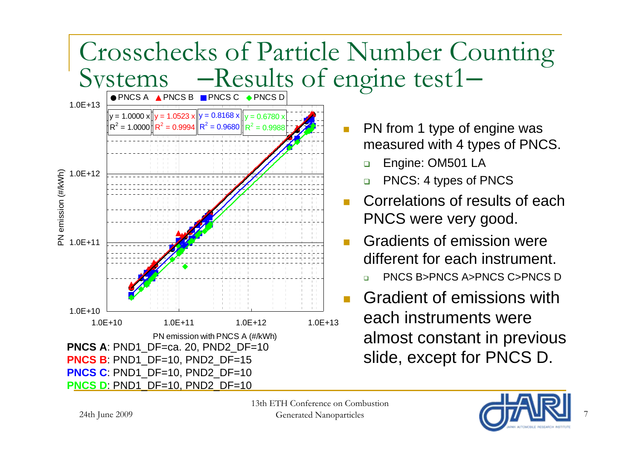

7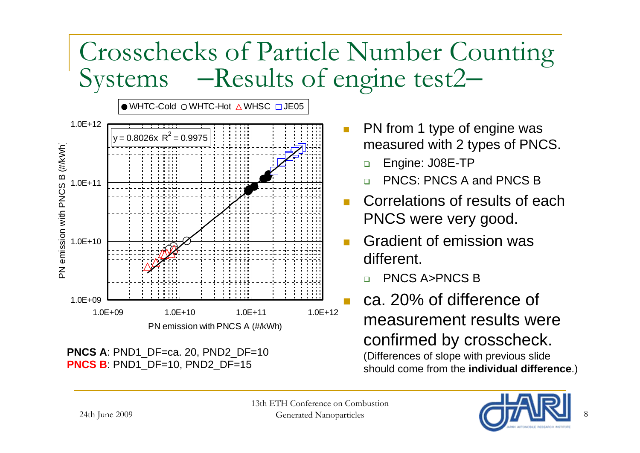## Crosschecks of Particle Number Counting Systems –Results of engine test2



- PN from 1 type of engine was measured with 2 types of PNCS.
	- $\Box$ Engine: J08E-TP
	- ❏ PNCS: PNCS A and PNCS B
- $\mathcal{C}^{\mathcal{A}}$  Correlations of results of each PNCS were very good.
- Gradient of emission was different.
	- ❏ PNCS A>PNCS B
- Π ca. 20% of difference of measurement results were confirmed by crosscheck. (Differences of slope with previous slide should come from the **individual difference**.)

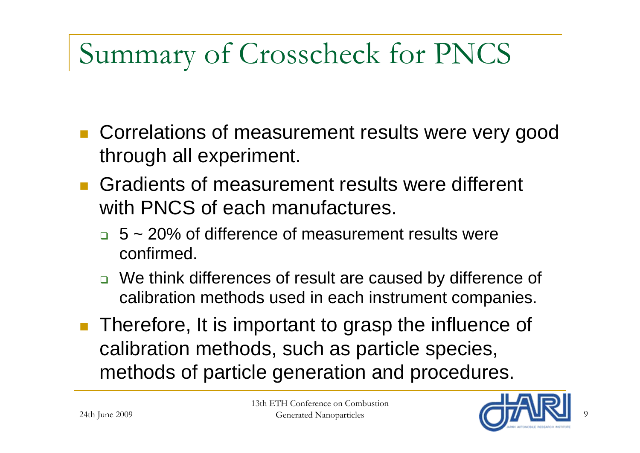# Summary of Crosscheck for PNCS

- Correlations of measurement results were very good through all experiment.
- **Gradients of measurement results were different** with PNCS of each manufactures.
	- $\Box$  5 ~ 20% of difference of measurement results were confirmed.
	- □ We think differences of result are caused by difference of calibration methods used in each instrument companies.
- **Therefore, It is important to grasp the influence of** calibration methods, such as particle species, methods of particle generation and procedures.



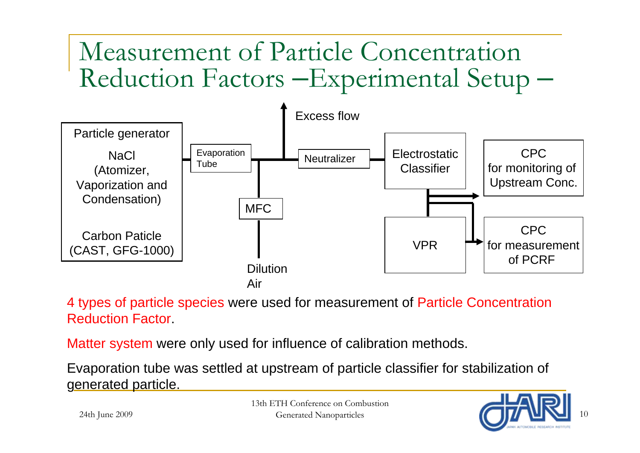## Measurement of Particle Concentration Reduction Factors –Experimental Setup –



4 types of particle species were used for measurement of Particle Concentration Reduction Factor.

Matter system were only used for influence of calibration methods.

Evaporation tube was settled at upstream of particle classifier for stabilization of generated particle.

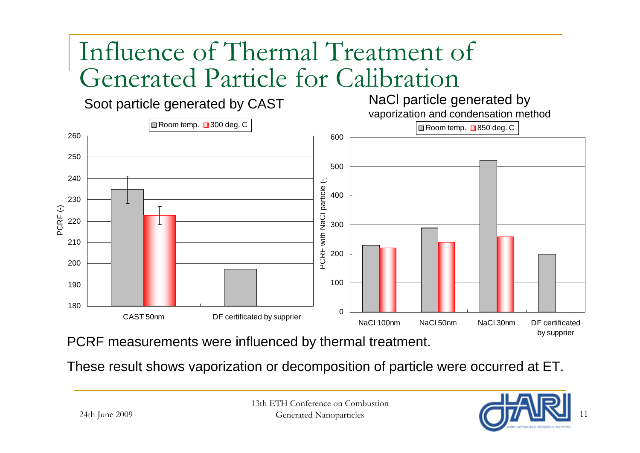# Influence of Thermal Treatment of Generated Particle for Calibration

Soot particle generated by CAST<br>
vaporization and condensation method<br>
vaporization and condensation method



PCRF measurements were influenced by thermal treatment.

These result shows vaporization or decomposition of particle were occurred at ET.

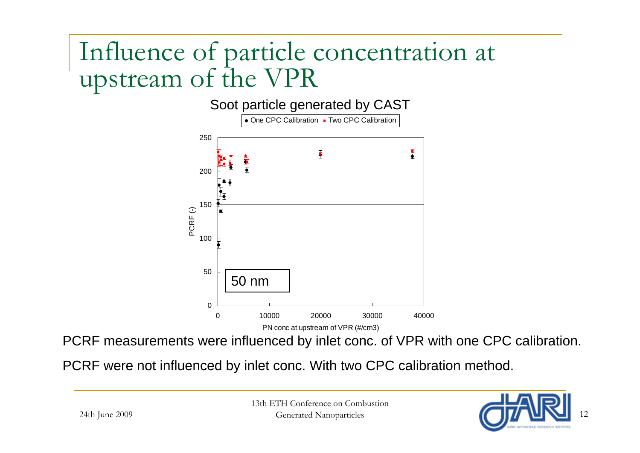## Influence of particle concentration at upstream of the VPR

Soot particle generated by CAST



PCRF measurements were influenced by inlet conc. of VPR with one CPC calibration.

PCRF were not influenced by inlet conc. With two CPC calibration method.

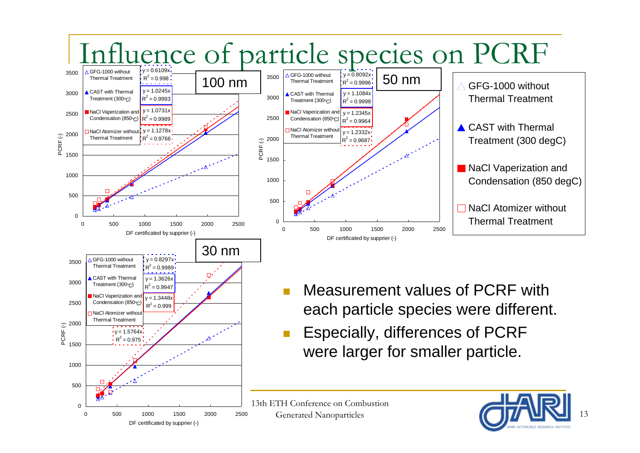

DF certificated by supprier (-)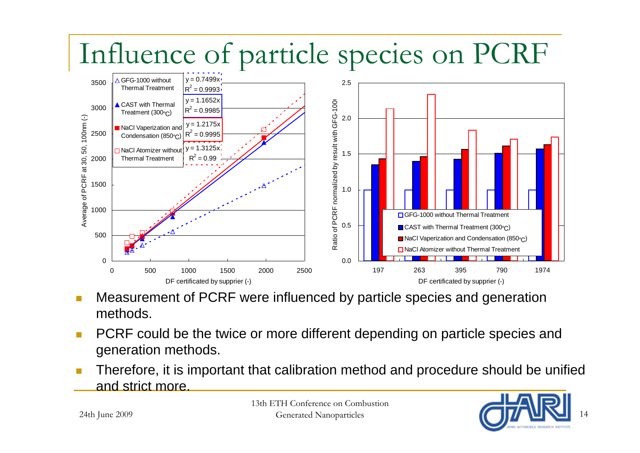# Influence of particle species on PCRF



- m. Measurement of PCRF were influenced by particle species and generation methods.
- L, PCRF could be the twice or more different depending on particle species and generation methods.
- П Therefore, it is important that calibration method and procedure should be unified and strict more.

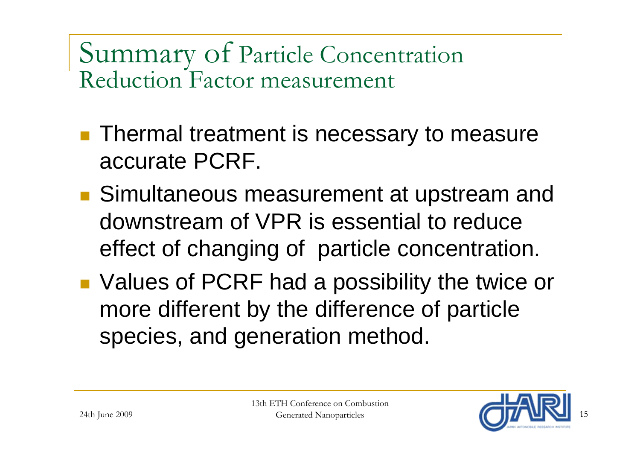Summary of Particle Concentration Reduction Factor measurement

- **Thermal treatment is necessary to measure** accurate PCRF.
- Simultaneous measurement at upstream and downstream of VPR is essential to reduce effect of changing of particle concentration.
- Values of PCRF had a possibility the twice or more different by the difference of particle species, and generation method.

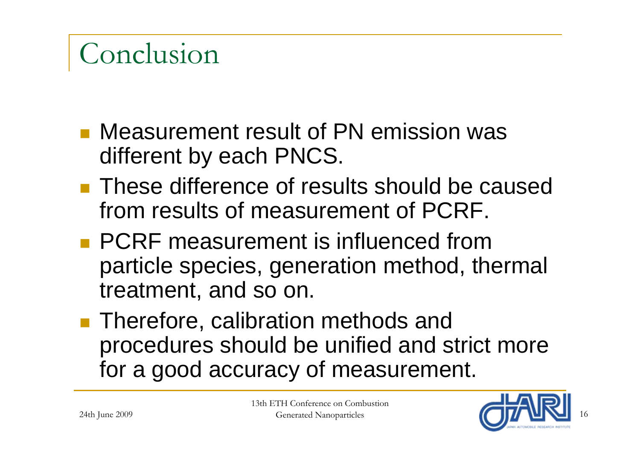# Conclusion

- **Neasurement result of PN emission was** different by each PNCS.
- **These difference of results should be caused** from results of measurement of PCRF.
- **PCRF** measurement is influenced from particle species, generation method, thermal treatment, and so on.
- **Therefore, calibration methods and** procedures should be unified and strict more for a good accuracy of measurement.

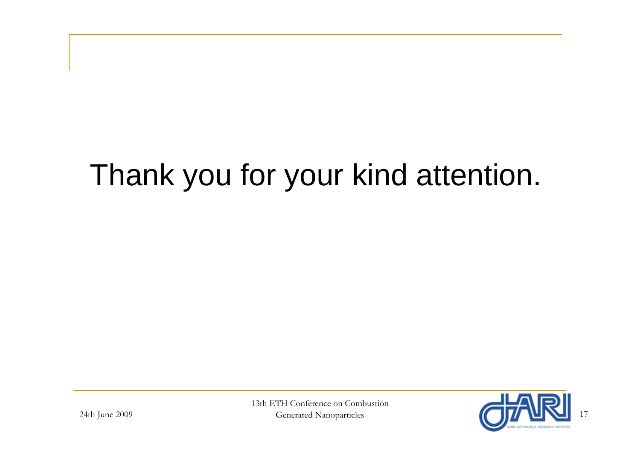# Thank you for your kind attention.